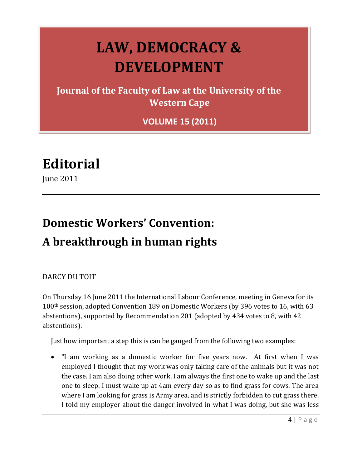## **LAW, DEMOCRACY & DEVELOPMENT**

**Journal of the Faculty of Law at the University of the Western Cape**

**VOLUME 15 (2011)**

## **Editorial**

June 2011

# **Domestic Workers' Convention:**

### **A breakthrough in human rights**

DARCY DU TOIT

On Thursday 16 June 2011 the International Labour Conference, meeting in Geneva for its 100th session, adopted Convention 189 on Domestic Workers (by 396 votes to 16, with 63 abstentions), supported by Recommendation 201 (adopted by 434 votes to 8, with 42 abstentions).

Just how important a step this is can be gauged from the following two examples:

 "I am working as a domestic worker for five years now. At first when I was employed I thought that my work was only taking care of the animals but it was not the case. I am also doing other work. I am always the first one to wake up and the last one to sleep. I must wake up at 4am every day so as to find grass for cows. The area where I am looking for grass is Army area, and is strictly forbidden to cut grass there. I told my employer about the danger involved in what I was doing, but she was less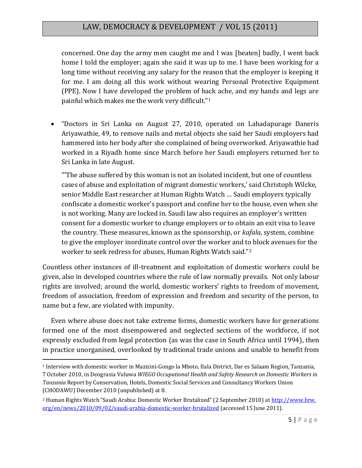### LAW, DEMOCRACY & DEVELOPMENT / VOL 15 (2011)

concerned. One day the army men caught me and I was [beaten] badly, I went back home I told the employer; again she said it was up to me. I have been working for a long time without receiving any salary for the reason that the employer is keeping it for me. I am doing all this work without wearing Personal Protective Equipment (PPE). Now I have developed the problem of back ache, and my hands and legs are painful which makes me the work very difficult."<sup>1</sup>

 "Doctors in Sri Lanka on August 27, 2010, operated on Lahadapurage Daneris Ariyawathie, 49, to remove nails and metal objects she said her Saudi employers had hammered into her body after she complained of being overworked. Ariyawathie had worked in a Riyadh home since March before her Saudi employers returned her to Sri Lanka in late August.

"'The abuse suffered by this woman is not an isolated incident, but one of countless cases of abuse and exploitation of migrant domestic workers,' said Christoph Wilcke, senior Middle East researcher at Human Rights Watch … Saudi employers typically confiscate a domestic worker's passport and confine her to the house, even when she is not working. Many are locked in. Saudi law also requires an employer's written consent for a domestic worker to change employers or to obtain an exit visa to leave the country. These measures, known as the sponsorship, or *kafala*, system, combine to give the employer inordinate control over the worker and to block avenues for the worker to seek redress for abuses, Human Rights Watch said."<sup>2</sup>

Countless other instances of ill-treatment and exploitation of domestic workers could be given, also in developed countries where the rule of law normally prevails. Not only labour rights are involved; around the world, domestic workers' rights to freedom of movement, freedom of association, freedom of expression and freedom and security of the person, to name but a few, are violated with impunity.

Even where abuse does not take extreme forms, domestic workers have for generations formed one of the most disempowered and neglected sections of the workforce, if not expressly excluded from legal protection (as was the case in South Africa until 1994), then in practice unorganised, overlooked by traditional trade unions and unable to benefit from

 $\overline{a}$ 

<sup>1</sup> Interview with domestic worker in Mazizini-Gongo la Mboto, Ilala District, Dar es Salaam Region, Tanzania, 7 October 2010, in Deograsia Vuluwa *WIEGO Occupational Health and Safety Research on Domestic Workers in Tanzania* Report by Conservation, Hotels, Domestic Social Services and Consultancy Workers Union (CHODAWU) December 2010 (unpublished) at 8.

<sup>&</sup>lt;sup>2</sup> Human Rights Watch "Saudi Arabia: Domestic Worker Brutalized" (2 September 2010) at http://www.hrw. org/en/news/2010/09/02/saudi-arabia-domestic-worker-brutalized (accessed 15 June 2011).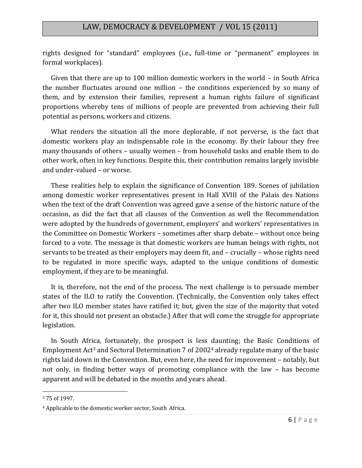#### LAW, DEMOCRACY & DEVELOPMENT / VOL 15 (2011)

rights designed for "standard" employees (i.e., full-time or "permanent" employees in formal workplaces).

Given that there are up to 100 million domestic workers in the world – in South Africa the number fluctuates around one million – the conditions experienced by so many of them, and by extension their families, represent a human rights failure of significant proportions whereby tens of millions of people are prevented from achieving their full potential as persons, workers and citizens.

What renders the situation all the more deplorable, if not perverse, is the fact that domestic workers play an indispensable role in the economy. By their labour they free many thousands of others – usually women – from household tasks and enable them to do other work, often in key functions. Despite this, their contribution remains largely invisible and under-valued – or worse.

These realities help to explain the significance of Convention 189. Scenes of jubilation among domestic worker representatives present in Hall XVIII of the Palais des Nations when the text of the draft Convention was agreed gave a sense of the historic nature of the occasion, as did the fact that all clauses of the Convention as well the Recommendation were adopted by the hundreds of government, employers' and workers' representatives in the Committee on Domestic Workers – sometimes after sharp debate – without once being forced to a vote. The message is that domestic workers are human beings with rights, not servants to be treated as their employers may deem fit, and – crucially – whose rights need to be regulated in more specific ways, adapted to the unique conditions of domestic employment, if they are to be meaningful.

It is, therefore, not the end of the process. The next challenge is to persuade member states of the ILO to ratify the Convention. (Technically, the Convention only takes effect after two ILO member states have ratified it; but, given the size of the majority that voted for it, this should not present an obstacle.) After that will come the struggle for appropriate legislation.

In South Africa, fortunately, the prospect is less daunting; the Basic Conditions of Employment Act<sup>3</sup> and Sectoral Determination 7 of 2002<sup>4</sup> already regulate many of the basic rights laid down in the Convention. But, even here, the need for improvement – notably, but not only, in finding better ways of promoting compliance with the law – has become apparent and will be debated in the months and years ahead.

 $\overline{a}$ 

<sup>3</sup> 75 of 1997.

<sup>4</sup> Applicable to the domestic worker sector, South Africa.